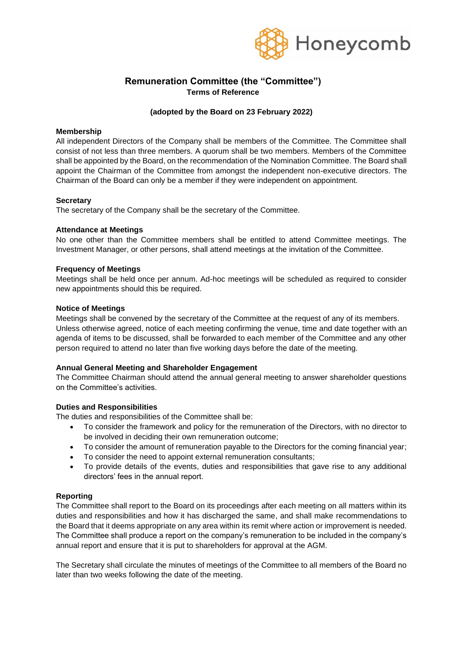

## **Remuneration Committee (the "Committee") Terms of Reference**

## **(adopted by the Board on 23 February 2022)**

### **Membership**

All independent Directors of the Company shall be members of the Committee. The Committee shall consist of not less than three members. A quorum shall be two members. Members of the Committee shall be appointed by the Board, on the recommendation of the Nomination Committee. The Board shall appoint the Chairman of the Committee from amongst the independent non-executive directors. The Chairman of the Board can only be a member if they were independent on appointment.

## **Secretary**

The secretary of the Company shall be the secretary of the Committee.

#### **Attendance at Meetings**

No one other than the Committee members shall be entitled to attend Committee meetings. The Investment Manager, or other persons, shall attend meetings at the invitation of the Committee.

#### **Frequency of Meetings**

Meetings shall be held once per annum. Ad-hoc meetings will be scheduled as required to consider new appointments should this be required.

#### **Notice of Meetings**

Meetings shall be convened by the secretary of the Committee at the request of any of its members. Unless otherwise agreed, notice of each meeting confirming the venue, time and date together with an agenda of items to be discussed, shall be forwarded to each member of the Committee and any other person required to attend no later than five working days before the date of the meeting.

## **Annual General Meeting and Shareholder Engagement**

The Committee Chairman should attend the annual general meeting to answer shareholder questions on the Committee's activities.

#### **Duties and Responsibilities**

The duties and responsibilities of the Committee shall be:

- To consider the framework and policy for the remuneration of the Directors, with no director to be involved in deciding their own remuneration outcome;
- To consider the amount of remuneration payable to the Directors for the coming financial year;
- To consider the need to appoint external remuneration consultants;
- To provide details of the events, duties and responsibilities that gave rise to any additional directors' fees in the annual report.

## **Reporting**

The Committee shall report to the Board on its proceedings after each meeting on all matters within its duties and responsibilities and how it has discharged the same, and shall make recommendations to the Board that it deems appropriate on any area within its remit where action or improvement is needed. The Committee shall produce a report on the company's remuneration to be included in the company's annual report and ensure that it is put to shareholders for approval at the AGM.

The Secretary shall circulate the minutes of meetings of the Committee to all members of the Board no later than two weeks following the date of the meeting.